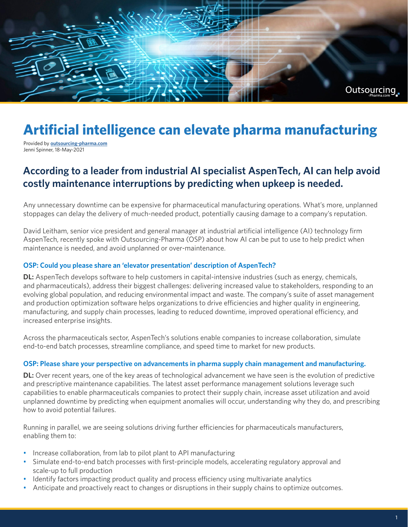

# **Artificial intelligence can elevate pharma manufacturing**

Provided by **[outsourcing-pharma.com](https://www.outsourcing-pharma.com/)** Jenni Spinner, 18-May-2021

# **According to a leader from industrial AI specialist AspenTech, AI can help avoid costly maintenance interruptions by predicting when upkeep is needed.**

Any unnecessary downtime can be expensive for pharmaceutical manufacturing operations. What's more, unplanned stoppages can delay the delivery of much-needed product, potentially causing damage to a company's reputation.

David Leitham, senior vice president and general manager at industrial artificial intelligence (AI) technology firm AspenTech, recently spoke with Outsourcing-Pharma (OSP) about how AI can be put to use to help predict when maintenance is needed, and avoid unplanned or over-maintenance.

#### **OSP: Could you please share an 'elevator presentation' description of AspenTech?**

**DL:** AspenTech develops software to help customers in capital-intensive industries (such as energy, chemicals, and pharmaceuticals), address their biggest challenges: delivering increased value to stakeholders, responding to an evolving global population, and reducing environmental impact and waste. The company's suite of asset management and production optimization software helps organizations to drive efficiencies and higher quality in engineering, manufacturing, and supply chain processes, leading to reduced downtime, improved operational efficiency, and increased enterprise insights.

Across the pharmaceuticals sector, AspenTech's solutions enable companies to increase collaboration, simulate end-to-end batch processes, streamline compliance, and speed time to market for new products.

#### **OSP: Please share your perspective on advancements in pharma supply chain management and manufacturing.**

**DL:** Over recent years, one of the key areas of technological advancement we have seen is the evolution of predictive and prescriptive maintenance capabilities. The latest asset performance management solutions leverage such capabilities to enable pharmaceuticals companies to protect their supply chain, increase asset utilization and avoid unplanned downtime by predicting when equipment anomalies will occur, understanding why they do, and prescribing how to avoid potential failures.

Running in parallel, we are seeing solutions driving further efficiencies for pharmaceuticals manufacturers, enabling them to:

- Increase collaboration, from lab to pilot plant to API manufacturing
- Simulate end-to-end batch processes with first-principle models, accelerating regulatory approval and scale-up to full production
- Identify factors impacting product quality and process efficiency using multivariate analytics
- Anticipate and proactively react to changes or disruptions in their supply chains to optimize outcomes.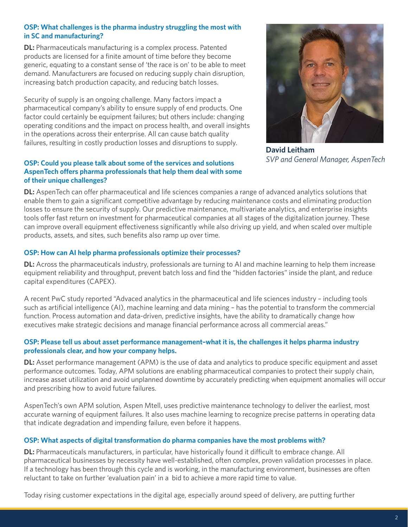#### **OSP: What challenges is the pharma industry struggling the most with in SC and manufacturing?**

**DL:** Pharmaceuticals manufacturing is a complex process. Patented products are licensed for a finite amount of time before they become generic, equating to a constant sense of 'the race is on' to be able to meet demand. Manufacturers are focused on reducing supply chain disruption, increasing batch production capacity, and reducing batch losses.

Security of supply is an ongoing challenge. Many factors impact a pharmaceutical company's ability to ensure supply of end products. One factor could certainly be equipment failures; but others include: changing operating conditions and the impact on process health, and overall insights in the operations across their enterprise. All can cause batch quality failures, resulting in costly production losses and disruptions to supply.

#### **OSP: Could you please talk about some of the services and solutions AspenTech offers pharma professionals that help them deal with some of their unique challenges?**



**David Leitham** *SVP and General Manager, AspenTech* 

**DL:** AspenTech can offer pharmaceutical and life sciences companies a range of advanced analytics solutions that enable them to gain a significant competitive advantage by reducing maintenance costs and eliminating production losses to ensure the security of supply. Our predictive maintenance, multivariate analytics, and enterprise insights tools offer fast return on investment for pharmaceutical companies at all stages of the digitalization journey. These can improve overall equipment effectiveness significantly while also driving up yield, and when scaled over multiple products, assets, and sites, such benefits also ramp up over time.

## **OSP: How can AI help pharma professionals optimize their processes?**

**DL:** Across the pharmaceuticals industry, professionals are turning to AI and machine learning to help them increase equipment reliability and throughput, prevent batch loss and find the "hidden factories" inside the plant, and reduce capital expenditures (CAPEX).

A recent PwC study reported "Advaced analytics in the pharmaceutical and life sciences industry – including tools such as artificial intelligence (AI), machine learning and data mining – has the potential to transform the commercial function. Process automation and data-driven, predictive insights, have the ability to dramatically change how executives make strategic decisions and manage financial performance across all commercial areas."

## **OSP: Please tell us about asset performance management–what it is, the challenges it helps pharma industry professionals clear, and how your company helps.**

**DL:** Asset performance management (APM) is the use of data and analytics to produce specific equipment and asset performance outcomes. Today, APM solutions are enabling pharmaceutical companies to protect their supply chain, increase asset utilization and avoid unplanned downtime by accurately predicting when equipment anomalies will occur and prescribing how to avoid future failures.

AspenTech's own APM solution, Aspen Mtell, uses predictive maintenance technology to deliver the earliest, most accurate warning of equipment failures. It also uses machine learning to recognize precise patterns in operating data that indicate degradation and impending failure, even before it happens.

# **OSP: What aspects of digital transformation do pharma companies have the most problems with?**

**DL:** Pharmaceuticals manufacturers, in particular, have historically found it difficult to embrace change. All pharmaceutical businesses by necessity have well-established, often complex, proven validation processes in place. If a technology has been through this cycle and is working, in the manufacturing environment, businesses are often reluctant to take on further 'evaluation pain' in a bid to achieve a more rapid time to value.

Today rising customer expectations in the digital age, especially around speed of delivery, are putting further